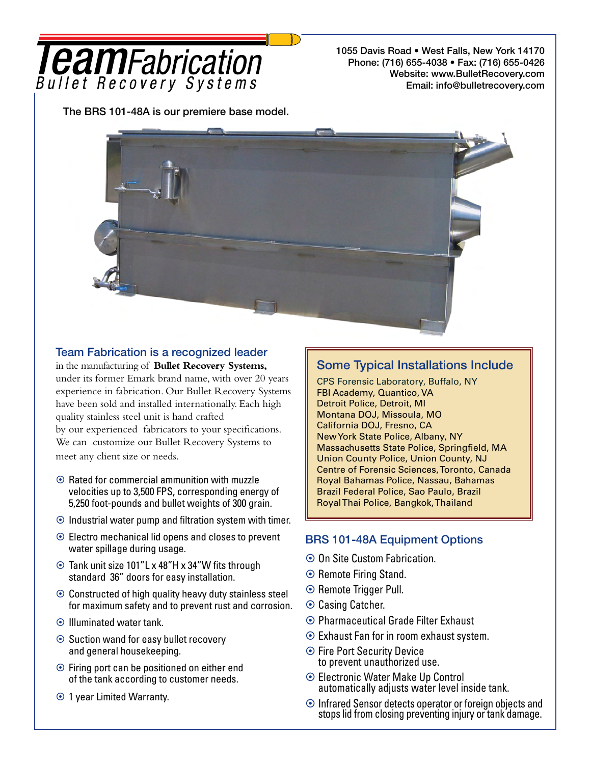# **I eamFabrication** Bullet Recovery Systems

1055 Davis Road • West Falls, New York 14170 Phone: (716) 655-4038 • Fax: (716) 655-0426 Website: www.BulletRecovery.com Email: info@bulletrecovery.com

The BRS 101-48A is our premiere base model.



### Team Fabrication is a recognized leader

in the manufacturing of **Bullet Recovery Systems,** under its former Emark brand name, with over 20 years experience in fabrication. Our Bullet Recovery Systems have been sold and installed internationally. Each high quality stainless steel unit is hand crafted by our experienced fabricators to your specifications. We can customize our Bullet Recovery Systems to meet any client size or needs.

- $\odot$  Rated for commercial ammunition with muzzle velocities up to 3,500 FPS, corresponding energy of 5,250 foot-pounds and bullet weights of 300 grain.
- $\odot$  Industrial water pump and filtration system with timer.
- Electro mechanical lid opens and closes to prevent water spillage during usage.
- Tank unit size 101"L x 48"H x 34"W fits through standard 36" doors for easy installation.
- $\odot$  Constructed of high quality heavy duty stainless steel for maximum safety and to prevent rust and corrosion.
- **⊙** Illuminated water tank.
- **⊙** Suction wand for easy bullet recovery and general housekeeping.
- **⊙** Firing port can be positioned on either end of the tank according to customer needs.
- 1 year Limited Warranty.

## Some Typical Installations Include

CPS Forensic Laboratory, Buffalo, NY FBI Academy, Quantico, VA Detroit Police, Detroit, MI Montana DOJ, Missoula, MO California DOJ, Fresno, CA New York State Police, Albany, NY Massachusetts State Police, Springfield, MA Union County Police, Union County, NJ Centre of Forensic Sciences, Toronto, Canada Royal Bahamas Police, Nassau, Bahamas Brazil Federal Police, Sao Paulo, Brazil Royal Thai Police, Bangkok, Thailand

## BRS 101-48A Equipment Options

- **⊙ On Site Custom Fabrication.**
- **⊙** Remote Firing Stand.
- **⊙** Remote Trigger Pull.
- **⊙ Casing Catcher.**
- **⊙ Pharmaceutical Grade Filter Exhaust**
- Exhaust Fan for in room exhaust system.
- **Fire Port Security Device** to prevent unauthorized use.
- Electronic Water Make Up Control automatically adjusts water level inside tank.
- Infrared Sensor detects operator or foreign objects and stops lid from closing preventing injury or tank damage.